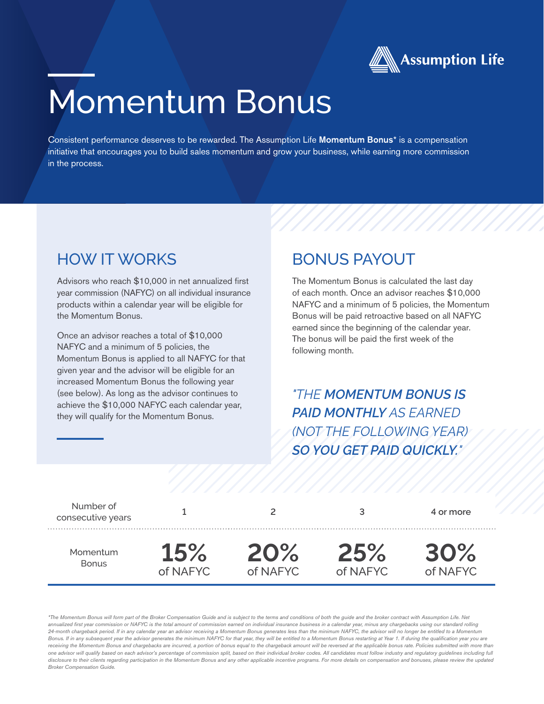

# Momentum Bonus

Consistent performance deserves to be rewarded. The Assumption Life Momentum Bonus\* is a compensation initiative that encourages you to build sales momentum and grow your business, while earning more commission in the process.

### HOW IT WORKS

Advisors who reach \$10,000 in net annualized first year commission (NAFYC) on all individual insurance products within a calendar year will be eligible for the Momentum Bonus.

Once an advisor reaches a total of \$10,000 NAFYC and a minimum of 5 policies, the Momentum Bonus is applied to all NAFYC for that given year and the advisor will be eligible for an increased Momentum Bonus the following year (see below). As long as the advisor continues to achieve the \$10,000 NAFYC each calendar year, they will qualify for the Momentum Bonus.

#### BONUS PAYOUT

The Momentum Bonus is calculated the last day of each month. Once an advisor reaches \$10,000 NAFYC and a minimum of 5 policies, the Momentum Bonus will be paid retroactive based on all NAFYC earned since the beginning of the calendar year. The bonus will be paid the first week of the following month.

*"THE MOMENTUM BONUS IS PAID MONTHLY AS EARNED (NOT THE FOLLOWING YEAR) SO YOU GET PAID QUICKLY."*

| Number of<br>consecutive years |            |          |          | 4 or more |
|--------------------------------|------------|----------|----------|-----------|
| Momentum                       | <b>15%</b> | 20%      | 25%      | 30%       |
| <b>Bonus</b>                   | of NAFYC   | of NAFYC | of NAFYC | of NAFYC  |

*\*The Momentum Bonus will form part of the Broker Compensation Guide and is subject to the terms and conditions of both the guide and the broker contract with Assumption Life. Net*  annualized first year commission or NAFYC is the total amount of commission earned on individual insurance business in a calendar year, minus any chargebacks using our standard rolling *24-month chargeback period. If in any calendar year an advisor receiving a Momentum Bonus generates less than the minimum NAFYC, the advisor will no longer be entitled to a Momentum*  Bonus. If in any subsequent year the advisor generates the minimum NAFYC for that year, they will be entitled to a Momentum Bonus restarting at Year 1. If during the qualification year you are receiving the Momentum Bonus and chargebacks are incurred, a portion of bonus equal to the chargeback amount will be reversed at the applicable bonus rate. Policies submitted with more than *one advisor will qualify based on each advisor's percentage of commission split, based on their individual broker codes. All candidates must follow industry and regulatory guidelines including full*  disclosure to their clients regarding participation in the Momentum Bonus and any other applicable incentive programs. For more details on compensation and bonuses, please review the updated *Broker Compensation Guide.*